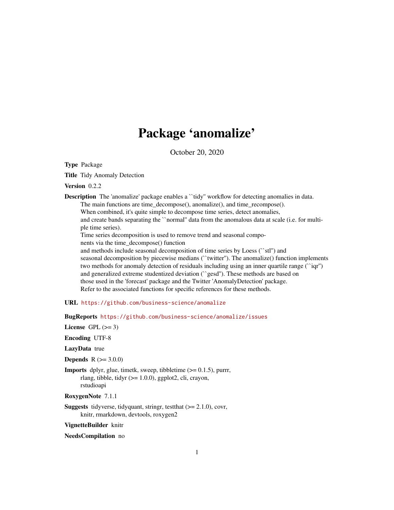# Package 'anomalize'

October 20, 2020

<span id="page-0-0"></span>Type Package

Title Tidy Anomaly Detection

Version 0.2.2

**Description** The 'anomalize' package enables a "tidy" workflow for detecting anomalies in data. The main functions are time\_decompose(), anomalize(), and time\_recompose(). When combined, it's quite simple to decompose time series, detect anomalies, and create bands separating the ``normal'' data from the anomalous data at scale (i.e. for multiple time series).

Time series decomposition is used to remove trend and seasonal compo-

nents via the time\_decompose() function

and methods include seasonal decomposition of time series by Loess (``stl'') and seasonal decomposition by piecewise medians (``twitter''). The anomalize() function implements two methods for anomaly detection of residuals including using an inner quartile range (``iqr'') and generalized extreme studentized deviation (``gesd''). These methods are based on those used in the 'forecast' package and the Twitter 'AnomalyDetection' package. Refer to the associated functions for specific references for these methods.

URL <https://github.com/business-science/anomalize>

BugReports <https://github.com/business-science/anomalize/issues>

License GPL  $(>= 3)$ 

Encoding UTF-8

LazyData true

**Depends**  $R (= 3.0.0)$ 

**Imports** dplyr, glue, timetk, sweep, tibbletime  $(>= 0.1.5)$ , purrr, rlang, tibble, tidyr  $(>= 1.0.0)$ , ggplot2, cli, crayon, rstudioapi

RoxygenNote 7.1.1

**Suggests** tidyverse, tidyquant, stringr, test that  $(>= 2.1.0)$ , covr, knitr, rmarkdown, devtools, roxygen2

VignetteBuilder knitr

NeedsCompilation no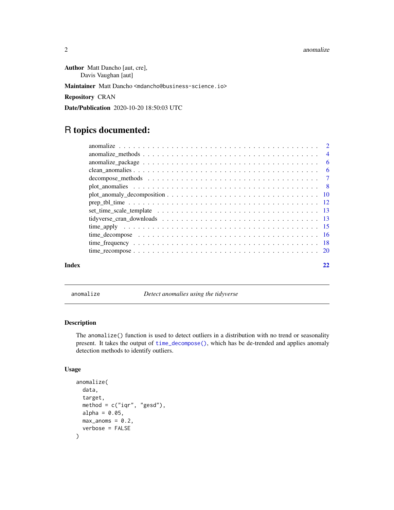#### <span id="page-1-0"></span>2 anomalize the contract of the contract of the contract of the contract of the contract of the contract of the contract of the contract of the contract of the contract of the contract of the contract of the contract of th

Author Matt Dancho [aut, cre], Davis Vaughan [aut]

Maintainer Matt Dancho <mdancho@business-science.io>

Repository CRAN

Date/Publication 2020-10-20 18:50:03 UTC

## R topics documented:

|       | anomalize_package $\dots \dots \dots \dots \dots \dots \dots \dots \dots \dots \dots \dots \dots \dots \dots$ | - 6 |
|-------|---------------------------------------------------------------------------------------------------------------|-----|
|       |                                                                                                               |     |
|       |                                                                                                               |     |
|       | plot anomalies $\ldots \ldots \ldots \ldots \ldots \ldots \ldots \ldots \ldots \ldots \ldots \ldots$          |     |
|       |                                                                                                               |     |
|       |                                                                                                               |     |
|       |                                                                                                               |     |
|       |                                                                                                               |     |
|       |                                                                                                               |     |
|       |                                                                                                               |     |
|       |                                                                                                               |     |
|       |                                                                                                               |     |
| Index |                                                                                                               |     |

<span id="page-1-1"></span>anomalize *Detect anomalies using the tidyverse*

#### Description

The anomalize() function is used to detect outliers in a distribution with no trend or seasonality present. It takes the output of [time\\_decompose\(\)](#page-15-1), which has be de-trended and applies anomaly detection methods to identify outliers.

#### Usage

```
anomalize(
  data,
  target,
  method = c("iqr", "gesd"),alpha = 0.05,
  max\_anoms = 0.2,
  verbose = FALSE
\mathcal{E}
```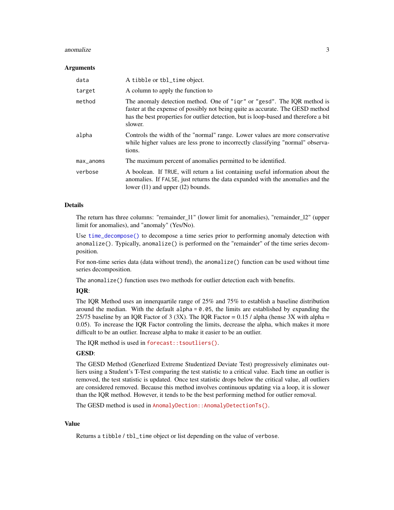#### anomalize 3

#### **Arguments**

| data      | A tibble or tbl_time object.                                                                                                                                                                                                                                 |
|-----------|--------------------------------------------------------------------------------------------------------------------------------------------------------------------------------------------------------------------------------------------------------------|
| target    | A column to apply the function to                                                                                                                                                                                                                            |
| method    | The anomaly detection method. One of "iqr" or "gesd". The IQR method is<br>faster at the expense of possibly not being quite as accurate. The GESD method<br>has the best properties for outlier detection, but is loop-based and therefore a bit<br>slower. |
| alpha     | Controls the width of the "normal" range. Lower values are more conservative<br>while higher values are less prone to incorrectly classifying "normal" observa-<br>tions.                                                                                    |
| max_anoms | The maximum percent of anomalies permitted to be identified.                                                                                                                                                                                                 |
| verbose   | A boolean. If TRUE, will return a list containing useful information about the<br>anomalies. If FALSE, just returns the data expanded with the anomalies and the<br>lower $(11)$ and upper $(12)$ bounds.                                                    |

#### Details

The return has three columns: "remainder\_l1" (lower limit for anomalies), "remainder\_l2" (upper limit for anomalies), and "anomaly" (Yes/No).

Use [time\\_decompose\(\)](#page-15-1) to decompose a time series prior to performing anomaly detection with anomalize(). Typically, anomalize() is performed on the "remainder" of the time series decomposition.

For non-time series data (data without trend), the anomalize() function can be used without time series decomposition.

The anomalize() function uses two methods for outlier detection each with benefits.

#### IQR:

The IQR Method uses an innerquartile range of 25% and 75% to establish a baseline distribution around the median. With the default alpha  $= 0.05$ , the limits are established by expanding the 25/75 baseline by an IQR Factor of 3 (3X). The IQR Factor = 0.15 / alpha (hense 3X with alpha = 0.05). To increase the IQR Factor controling the limits, decrease the alpha, which makes it more difficult to be an outlier. Increase alpha to make it easier to be an outlier.

The IQR method is used in [forecast::tsoutliers\(\)](https://github.com/robjhyndman/forecast).

#### GESD:

The GESD Method (Generlized Extreme Studentized Deviate Test) progressively eliminates outliers using a Student's T-Test comparing the test statistic to a critical value. Each time an outlier is removed, the test statistic is updated. Once test statistic drops below the critical value, all outliers are considered removed. Because this method involves continuous updating via a loop, it is slower than the IQR method. However, it tends to be the best performing method for outlier removal.

The GESD method is used in [AnomalyDection::AnomalyDetectionTs\(\)](https://github.com/twitter/AnomalyDetection).

#### Value

Returns a tibble / tbl\_time object or list depending on the value of verbose.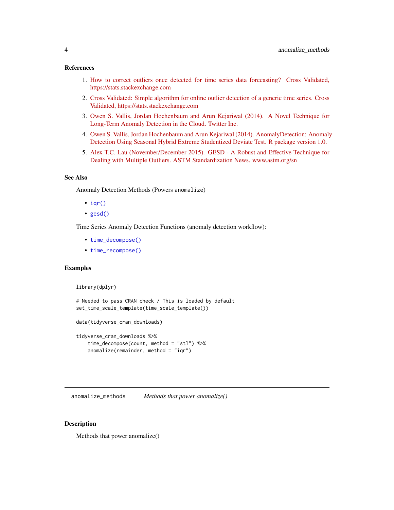#### <span id="page-3-0"></span>References

- 1. [How to correct outliers once detected for time series data forecasting? Cross Validated,](https://stats.stackexchange.com/questions/69874/how-to-correct-outliers-once-detected-for-time-series-data-forecasting) [https://stats.stackexchange.com](https://stats.stackexchange.com/questions/69874/how-to-correct-outliers-once-detected-for-time-series-data-forecasting)
- 2. [Cross Validated: Simple algorithm for online outlier detection of a generic time series. Cross](https://stats.stackexchange.com/questions/1142/simple-algorithm-for-online-outlier-detection-of-a-generic-time-series?) [Validated, https://stats.stackexchange.com](https://stats.stackexchange.com/questions/1142/simple-algorithm-for-online-outlier-detection-of-a-generic-time-series?)
- 3. [Owen S. Vallis, Jordan Hochenbaum and Arun Kejariwal \(2014\). A Novel Technique for](https://www.usenix.org/system/files/conference/hotcloud14/hotcloud14-vallis.pdf) [Long-Term Anomaly Detection in the Cloud. Twitter Inc.](https://www.usenix.org/system/files/conference/hotcloud14/hotcloud14-vallis.pdf)
- 4. [Owen S. Vallis, Jordan Hochenbaum and Arun Kejariwal \(2014\). AnomalyDetection: Anomaly](https://github.com/twitter/AnomalyDetection) [Detection Using Seasonal Hybrid Extreme Studentized Deviate Test. R package version 1.0.](https://github.com/twitter/AnomalyDetection)
- 5. [Alex T.C. Lau \(November/December 2015\). GESD A Robust and Effective Technique for](https://www.astm.org/standardization-news/images/nd15/nd15_datapoints.pdf) [Dealing with Multiple Outliers. ASTM Standardization News. www.astm.org/sn](https://www.astm.org/standardization-news/images/nd15/nd15_datapoints.pdf)

#### See Also

Anomaly Detection Methods (Powers anomalize)

- $iqr()$
- [gesd\(\)](#page-3-1)

Time Series Anomaly Detection Functions (anomaly detection workflow):

- [time\\_decompose\(\)](#page-15-1)
- [time\\_recompose\(\)](#page-19-1)

#### Examples

```
library(dplyr)
```

```
# Needed to pass CRAN check / This is loaded by default
set_time_scale_template(time_scale_template())
```
data(tidyverse\_cran\_downloads)

```
tidyverse_cran_downloads %>%
   time_decompose(count, method = "stl") %>%
   anomalize(remainder, method = "iqr")
```
anomalize\_methods *Methods that power anomalize()*

#### <span id="page-3-1"></span>Description

Methods that power anomalize()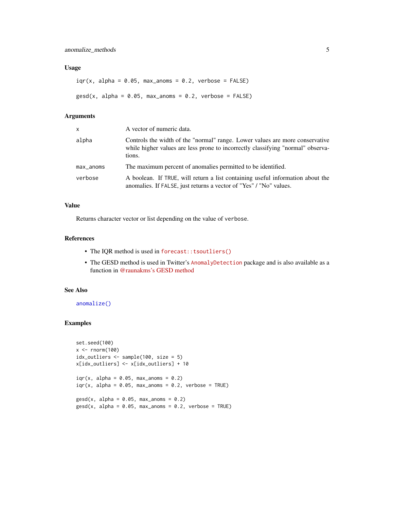#### <span id="page-4-0"></span>Usage

```
iqr(x, alpha = 0.05, max_{anoms} = 0.2, verbose = FALSE)\text{gsd}(x, \text{ alpha} = 0.05, \text{ max} = 0.2, \text{ verbose} = \text{FALSE})
```
#### Arguments

| $\mathsf{x}$ | A vector of numeric data.                                                                                                                                                 |
|--------------|---------------------------------------------------------------------------------------------------------------------------------------------------------------------------|
| alpha        | Controls the width of the "normal" range. Lower values are more conservative<br>while higher values are less prone to incorrectly classifying "normal" observa-<br>tions. |
| $max_$ anoms | The maximum percent of anomalies permitted to be identified.                                                                                                              |
| verbose      | A boolean. If TRUE, will return a list containing useful information about the<br>anomalies. If FALSE, just returns a vector of "Yes" / "No" values.                      |

#### Value

Returns character vector or list depending on the value of verbose.

#### References

- The IQR method is used in [forecast::tsoutliers\(\)](https://github.com/robjhyndman/forecast/blob/master/R/clean.R)
- The GESD method is used in Twitter's [AnomalyDetection](https://github.com/twitter/AnomalyDetection) package and is also available as a function in [@raunakms's GESD method](https://github.com/raunakms/GESD/blob/master/runGESD.R)

#### See Also

[anomalize\(\)](#page-1-1)

#### Examples

```
set.seed(100)
x < - rnorm(100)
idx_outliers <- sample(100, size = 5)
x[idx_outliers] <- x[idx_outliers] + 10
iqr(x, alpha = 0.05, max\_anoms = 0.2)iqr(x, alpha = 0.05, max_{anoms} = 0.2, verbose = TRUE)\text{gesd}(x, \text{ alpha} = 0.05, \text{ max} anoms = 0.2)
\text{gesd}(x, \text{ alpha} = 0.05, \text{ max} = 0.2, \text{ verbose} = \text{TRUE})
```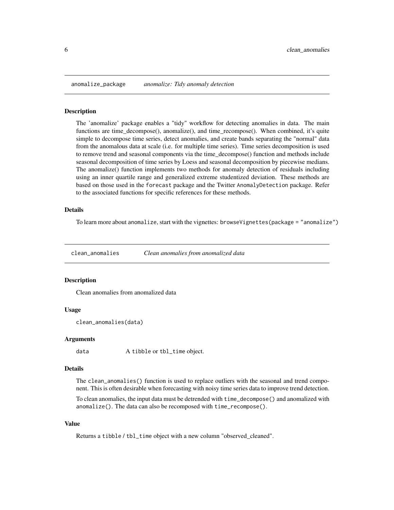<span id="page-5-0"></span>

#### **Description**

The 'anomalize' package enables a "tidy" workflow for detecting anomalies in data. The main functions are time\_decompose(), anomalize(), and time\_recompose(). When combined, it's quite simple to decompose time series, detect anomalies, and create bands separating the "normal" data from the anomalous data at scale (i.e. for multiple time series). Time series decomposition is used to remove trend and seasonal components via the time\_decompose() function and methods include seasonal decomposition of time series by Loess and seasonal decomposition by piecewise medians. The anomalize() function implements two methods for anomaly detection of residuals including using an inner quartile range and generalized extreme studentized deviation. These methods are based on those used in the forecast package and the Twitter AnomalyDetection package. Refer to the associated functions for specific references for these methods.

#### Details

To learn more about anomalize, start with the vignettes: browseVignettes(package = "anomalize")

clean\_anomalies *Clean anomalies from anomalized data*

#### **Description**

Clean anomalies from anomalized data

#### Usage

```
clean_anomalies(data)
```
#### Arguments

data A tibble or tbl\_time object.

#### Details

The clean\_anomalies() function is used to replace outliers with the seasonal and trend component. This is often desirable when forecasting with noisy time series data to improve trend detection.

To clean anomalies, the input data must be detrended with time\_decompose() and anomalized with anomalize(). The data can also be recomposed with time\_recompose().

#### Value

Returns a tibble / tbl\_time object with a new column "observed\_cleaned".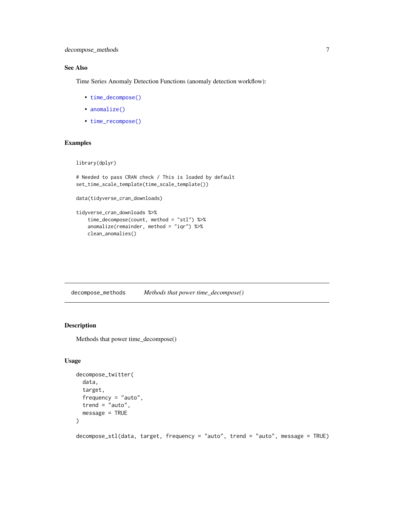#### <span id="page-6-0"></span>See Also

Time Series Anomaly Detection Functions (anomaly detection workflow):

- [time\\_decompose\(\)](#page-15-1)
- [anomalize\(\)](#page-1-1)
- [time\\_recompose\(\)](#page-19-1)

#### Examples

```
library(dplyr)
```

```
# Needed to pass CRAN check / This is loaded by default
set_time_scale_template(time_scale_template())
```

```
data(tidyverse_cran_downloads)
```

```
tidyverse_cran_downloads %>%
    time_decompose(count, method = "stl") %>%
   anomalize(remainder, method = "iqr") %>%
   clean_anomalies()
```
decompose\_methods *Methods that power time\_decompose()*

#### <span id="page-6-1"></span>Description

Methods that power time\_decompose()

#### Usage

```
decompose_twitter(
  data,
  target,
  frequency = "auto",
  trend = "auto",message = TRUE
)
```
decompose\_stl(data, target, frequency = "auto", trend = "auto", message = TRUE)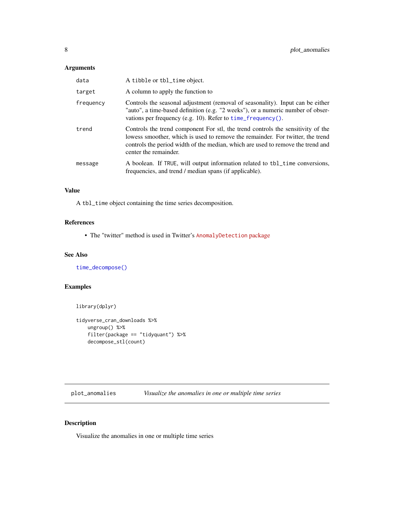#### <span id="page-7-0"></span>Arguments

| data      | A tibble or tbl_time object.                                                                                                                                                                                                                                                  |
|-----------|-------------------------------------------------------------------------------------------------------------------------------------------------------------------------------------------------------------------------------------------------------------------------------|
| target    | A column to apply the function to                                                                                                                                                                                                                                             |
| frequency | Controls the seasonal adjustment (removal of seasonality). Input can be either<br>"auto", a time-based definition (e.g. "2 weeks"), or a numeric number of obser-<br>vations per frequency (e.g. 10). Refer to time_frequency().                                              |
| trend     | Controls the trend component For stl, the trend controls the sensitivity of the<br>lowess smoother, which is used to remove the remainder. For twitter, the trend<br>controls the period width of the median, which are used to remove the trend and<br>center the remainder. |
| message   | A boolean. If TRUE, will output information related to tbl_time conversions,<br>frequencies, and trend / median spans (if applicable).                                                                                                                                        |

#### Value

A tbl\_time object containing the time series decomposition.

#### References

• The "twitter" method is used in Twitter's [AnomalyDetection](https://github.com/twitter/AnomalyDetection) package

#### See Also

[time\\_decompose\(\)](#page-15-1)

### Examples

```
library(dplyr)
```

```
tidyverse_cran_downloads %>%
   ungroup() %>%
   filter(package == "tidyquant") %>%
   decompose_stl(count)
```
<span id="page-7-1"></span>plot\_anomalies *Visualize the anomalies in one or multiple time series*

#### Description

Visualize the anomalies in one or multiple time series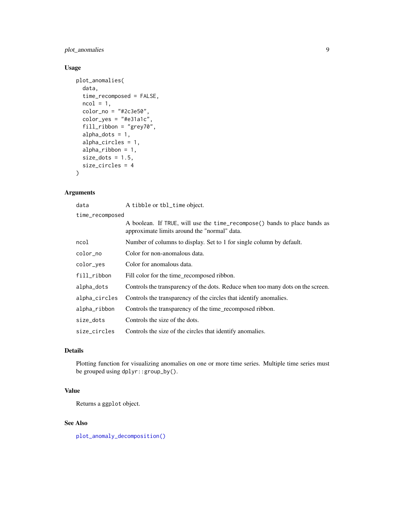#### <span id="page-8-0"></span>plot\_anomalies 9

#### Usage

```
plot_anomalies(
  data,
  time_recomposed = FALSE,
 ncol = 1,
  color_{no} = "#2c3e50",color_yes = "#e31a1c",
  fill_ribbon = "grey70",
  alpha_dots = 1,alpha_circles = 1,
  alpha_ribbon = 1,
  size\_dots = 1.5,
  size_circles = 4
\mathcal{L}
```
#### Arguments

| data            | A tibble or tbl_time object.                                                                                              |  |
|-----------------|---------------------------------------------------------------------------------------------------------------------------|--|
| time_recomposed |                                                                                                                           |  |
|                 | A boolean. If TRUE, will use the time_recompose() bands to place bands as<br>approximate limits around the "normal" data. |  |
| ncol            | Number of columns to display. Set to 1 for single column by default.                                                      |  |
| color_no        | Color for non-anomalous data.                                                                                             |  |
| color_yes       | Color for anomalous data.                                                                                                 |  |
| fill_ribbon     | Fill color for the time_recomposed ribbon.                                                                                |  |
| alpha_dots      | Controls the transparency of the dots. Reduce when too many dots on the screen.                                           |  |
| alpha_circles   | Controls the transparency of the circles that identify anomalies.                                                         |  |
| alpha_ribbon    | Controls the transparency of the time_recomposed ribbon.                                                                  |  |
| size dots       | Controls the size of the dots.                                                                                            |  |
| size_circles    | Controls the size of the circles that identify anomalies.                                                                 |  |

### Details

Plotting function for visualizing anomalies on one or more time series. Multiple time series must be grouped using dplyr::group\_by().

#### Value

Returns a ggplot object.

#### See Also

[plot\\_anomaly\\_decomposition\(\)](#page-9-1)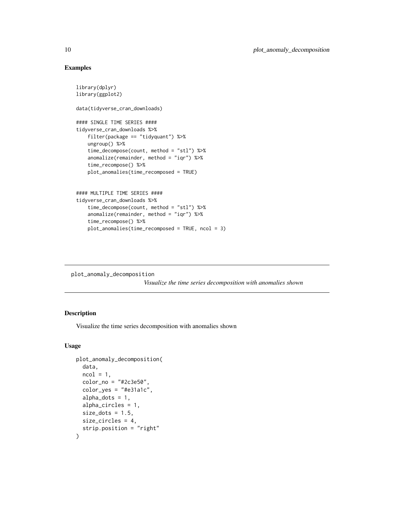#### Examples

```
library(dplyr)
library(ggplot2)
data(tidyverse_cran_downloads)
#### SINGLE TIME SERIES ####
tidyverse_cran_downloads %>%
   filter(package == "tidyquant") %>%
   ungroup() %>%
   time_decompose(count, method = "stl") %>%
   anomalize(remainder, method = "iqr") %>%
   time_recompose() %>%
   plot_anomalies(time_recomposed = TRUE)
#### MULTIPLE TIME SERIES ####
tidyverse_cran_downloads %>%
    time_decompose(count, method = "stl") %>%
    anomalize(remainder, method = "iqr") %>%
    time_recompose() %>%
   plot_anomalies(time_recomposed = TRUE, ncol = 3)
```
<span id="page-9-1"></span>plot\_anomaly\_decomposition

*Visualize the time series decomposition with anomalies shown*

#### Description

Visualize the time series decomposition with anomalies shown

#### Usage

```
plot_anomaly_decomposition(
  data,
  ncol = 1,
  color_{no} = "#2c3e50",color_yes = "#e31a1c",
  alpha\_dots = 1,
  alpha_circles = 1,
  size\_dots = 1.5,
  size_circles = 4,
  strip.position = "right"
)
```
<span id="page-9-0"></span>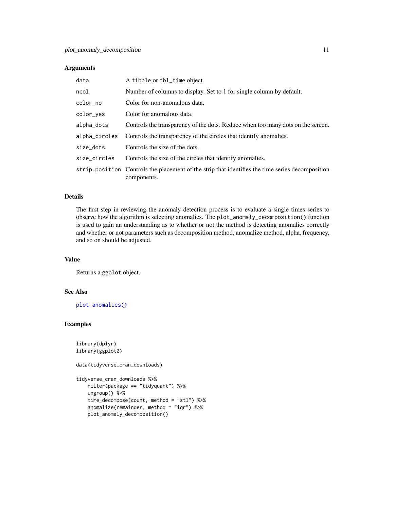#### <span id="page-10-0"></span>Arguments

| data          | A tibble or tbl_time object.                                                                                     |
|---------------|------------------------------------------------------------------------------------------------------------------|
| ncol          | Number of columns to display. Set to 1 for single column by default.                                             |
| color_no      | Color for non-anomalous data.                                                                                    |
| color_ves     | Color for anomalous data.                                                                                        |
| alpha_dots    | Controls the transparency of the dots. Reduce when too many dots on the screen.                                  |
| alpha_circles | Controls the transparency of the circles that identify anomalies.                                                |
| size dots     | Controls the size of the dots.                                                                                   |
| size_circles  | Controls the size of the circles that identify anomalies.                                                        |
|               | strip. position Controls the placement of the strip that identifies the time series decomposition<br>components. |

#### Details

The first step in reviewing the anomaly detection process is to evaluate a single times series to observe how the algorithm is selecting anomalies. The plot\_anomaly\_decomposition() function is used to gain an understanding as to whether or not the method is detecting anomalies correctly and whether or not parameters such as decomposition method, anomalize method, alpha, frequency, and so on should be adjusted.

#### Value

Returns a ggplot object.

#### See Also

[plot\\_anomalies\(\)](#page-7-1)

#### Examples

```
library(dplyr)
library(ggplot2)
```
data(tidyverse\_cran\_downloads)

```
tidyverse_cran_downloads %>%
   filter(package == "tidyquant") %>%
   ungroup() %>%
    time_decompose(count, method = "stl") %>%
    anomalize(remainder, method = "iqr") %>%
   plot_anomaly_decomposition()
```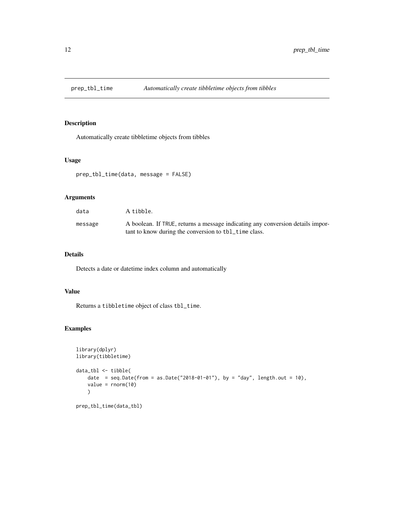<span id="page-11-0"></span>

#### Description

Automatically create tibbletime objects from tibbles

#### Usage

```
prep_tbl_time(data, message = FALSE)
```
#### Arguments

| data    | A tibble.                                                                                                                               |
|---------|-----------------------------------------------------------------------------------------------------------------------------------------|
| message | A boolean. If TRUE, returns a message indicating any conversion details impor-<br>tant to know during the conversion to tbl_time class. |

#### Details

Detects a date or datetime index column and automatically

#### Value

Returns a tibbletime object of class tbl\_time.

#### Examples

```
library(dplyr)
library(tibbletime)
data_tbl <- tibble(
    date = seq.Date(from = as.Date("2018-01-01"), by = "day", length.out = 10),
    value = rnorm(10)
    \mathcal{L}prep_tbl_time(data_tbl)
```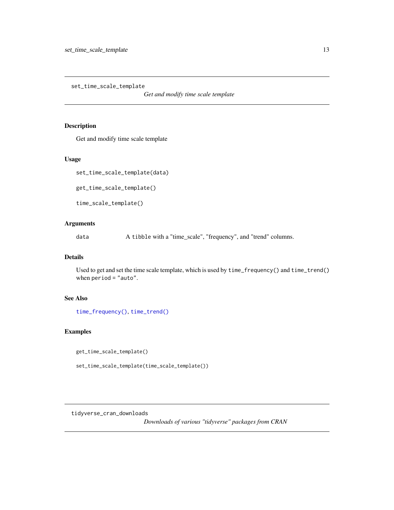<span id="page-12-0"></span>set\_time\_scale\_template

*Get and modify time scale template*

#### Description

Get and modify time scale template

#### Usage

set\_time\_scale\_template(data)

get\_time\_scale\_template()

time\_scale\_template()

#### Arguments

data A tibble with a "time\_scale", "frequency", and "trend" columns.

#### Details

Used to get and set the time scale template, which is used by time\_frequency() and time\_trend() when period = "auto".

#### See Also

[time\\_frequency\(\)](#page-17-1), [time\\_trend\(\)](#page-17-2)

#### Examples

get\_time\_scale\_template()

set\_time\_scale\_template(time\_scale\_template())

tidyverse\_cran\_downloads

*Downloads of various "tidyverse" packages from CRAN*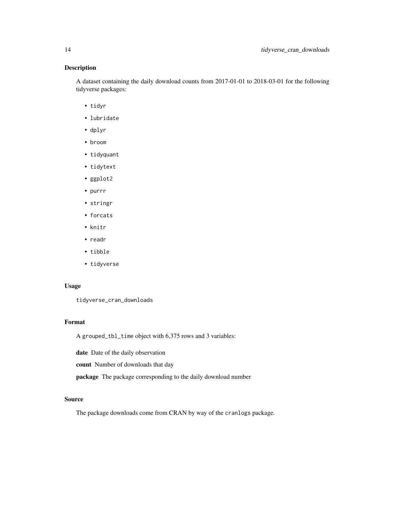#### Description

A dataset containing the daily download counts from 2017-01-01 to 2018-03-01 for the following tidyverse packages:

- tidyr
- lubridate
- dplyr
- broom
- tidyquant
- tidytext
- ggplot2
- purrr
- stringr
- forcats
- knitr
- readr
- tibble
- tidyverse

#### Usage

tidyverse\_cran\_downloads

#### Format

A grouped\_tbl\_time object with 6,375 rows and 3 variables:

date Date of the daily observation

count Number of downloads that day

package The package corresponding to the daily download number

#### Source

The package downloads come from CRAN by way of the cranlogs package.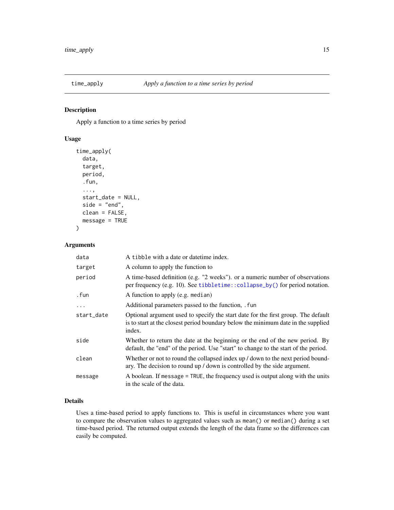<span id="page-14-0"></span>

#### Description

Apply a function to a time series by period

#### Usage

```
time_apply(
 data,
  target,
 period,
  .fun,
  ...,
  start_date = NULL,
 side = "end",clean = FALSE,
 message = TRUE
)
```
#### Arguments

| data       | A tibble with a date or date time index.                                                                                                                                         |
|------------|----------------------------------------------------------------------------------------------------------------------------------------------------------------------------------|
| target     | A column to apply the function to                                                                                                                                                |
| period     | A time-based definition (e.g. "2 weeks"). or a numeric number of observations<br>per frequency (e.g. 10). See tibbletime::collapse_by() for period notation.                     |
| . fun      | A function to apply (e.g. median)                                                                                                                                                |
| .          | Additional parameters passed to the function, . fun                                                                                                                              |
| start_date | Optional argument used to specify the start date for the first group. The default<br>is to start at the closest period boundary below the minimum date in the supplied<br>index. |
| side       | Whether to return the date at the beginning or the end of the new period. By<br>default, the "end" of the period. Use "start" to change to the start of the period.              |
| clean      | Whether or not to round the collapsed index up / down to the next period bound-<br>ary. The decision to round up / down is controlled by the side argument.                      |
| message    | A boolean. If message = TRUE, the frequency used is output along with the units<br>in the scale of the data.                                                                     |

#### Details

Uses a time-based period to apply functions to. This is useful in circumstances where you want to compare the observation values to aggregated values such as mean() or median() during a set time-based period. The returned output extends the length of the data frame so the differences can easily be computed.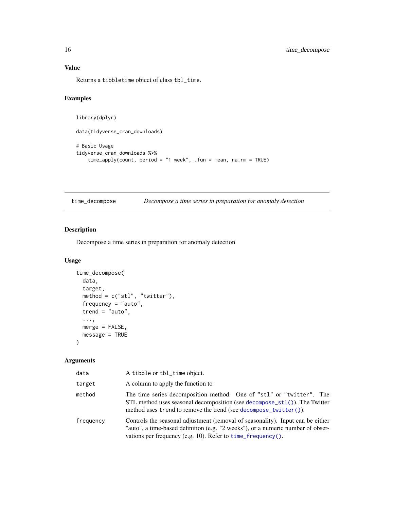### <span id="page-15-0"></span>Value

Returns a tibbletime object of class tbl\_time.

#### Examples

```
library(dplyr)
data(tidyverse_cran_downloads)
# Basic Usage
tidyverse_cran_downloads %>%
    time_apply(count, period = "1 week", .fun = mean, na.rm = TRUE)
```
<span id="page-15-1"></span>time\_decompose *Decompose a time series in preparation for anomaly detection*

#### Description

Decompose a time series in preparation for anomaly detection

#### Usage

```
time_decompose(
 data,
  target,
 method = c("stl", "twitter"),
 frequency = "auto",
  trend = "auto",
  ...,
 merge = FALSE,
 message = TRUE
)
```
#### Arguments

| data      | A tibble or tbl_time object.                                                                                                                                                                                                         |
|-----------|--------------------------------------------------------------------------------------------------------------------------------------------------------------------------------------------------------------------------------------|
| target    | A column to apply the function to                                                                                                                                                                                                    |
| method    | The time series decomposition method. One of "stl" or "twitter". The<br>STL method uses seasonal decomposition (see decompose_ $st1()$ ). The Twitter<br>method uses trend to remove the trend (see decompose_twitter()).            |
| frequency | Controls the seasonal adjustment (removal of seasonality). Input can be either<br>"auto", a time-based definition (e.g. "2 weeks"), or a numeric number of obser-<br>vations per frequency (e.g. 10). Refer to $time_f$ requency (). |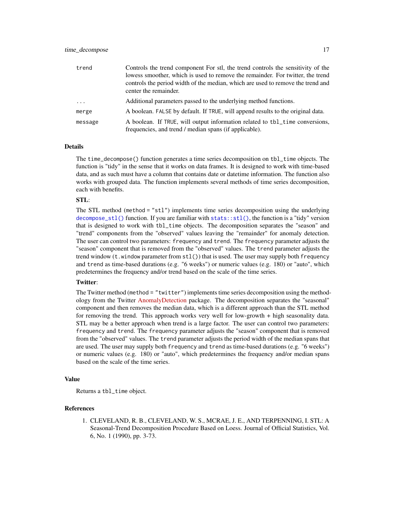#### <span id="page-16-0"></span>time\_decompose 17

| trend    | Controls the trend component For stl, the trend controls the sensitivity of the<br>lowess smoother, which is used to remove the remainder. For twitter, the trend<br>controls the period width of the median, which are used to remove the trend and |
|----------|------------------------------------------------------------------------------------------------------------------------------------------------------------------------------------------------------------------------------------------------------|
|          | center the remainder.                                                                                                                                                                                                                                |
| $\ddots$ | Additional parameters passed to the underlying method functions.                                                                                                                                                                                     |
| merge    | A boolean. FALSE by default. If TRUE, will append results to the original data.                                                                                                                                                                      |
| message  | A boolean. If TRUE, will output information related to tbl_time conversions,<br>frequencies, and trend / median spans (if applicable).                                                                                                               |

#### **Details**

The time\_decompose() function generates a time series decomposition on tbl\_time objects. The function is "tidy" in the sense that it works on data frames. It is designed to work with time-based data, and as such must have a column that contains date or datetime information. The function also works with grouped data. The function implements several methods of time series decomposition, each with benefits.

#### STL:

The STL method (method  $=$  "stl") implements time series decomposition using the underlying [decompose\\_stl\(\)](#page-6-1) function. If you are familiar with [stats::stl\(\)](#page-0-0), the function is a "tidy" version that is designed to work with tbl\_time objects. The decomposition separates the "season" and "trend" components from the "observed" values leaving the "remainder" for anomaly detection. The user can control two parameters: frequency and trend. The frequency parameter adjusts the "season" component that is removed from the "observed" values. The trend parameter adjusts the trend window (t.window parameter from  $st($ ) that is used. The user may supply both frequency and trend as time-based durations (e.g. "6 weeks") or numeric values (e.g. 180) or "auto", which predetermines the frequency and/or trend based on the scale of the time series.

#### Twitter:

The Twitter method (method = "twitter") implements time series decomposition using the methodology from the Twitter [AnomalyDetection](https://github.com/twitter/AnomalyDetection) package. The decomposition separates the "seasonal" component and then removes the median data, which is a different approach than the STL method for removing the trend. This approach works very well for low-growth + high seasonality data. STL may be a better approach when trend is a large factor. The user can control two parameters: frequency and trend. The frequency parameter adjusts the "season" component that is removed from the "observed" values. The trend parameter adjusts the period width of the median spans that are used. The user may supply both frequency and trend as time-based durations (e.g. "6 weeks") or numeric values (e.g. 180) or "auto", which predetermines the frequency and/or median spans based on the scale of the time series.

#### Value

Returns a tbl\_time object.

#### References

1. CLEVELAND, R. B., CLEVELAND, W. S., MCRAE, J. E., AND TERPENNING, I. STL: A Seasonal-Trend Decomposition Procedure Based on Loess. Journal of Official Statistics, Vol. 6, No. 1 (1990), pp. 3-73.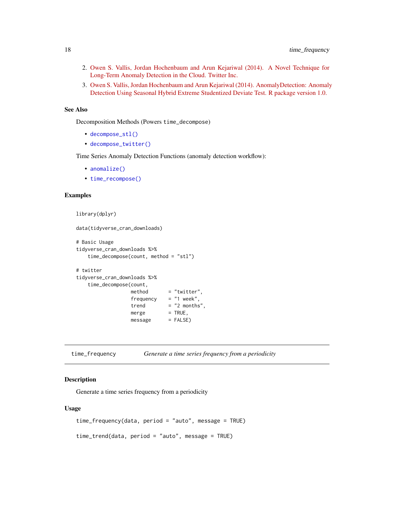- <span id="page-17-0"></span>2. [Owen S. Vallis, Jordan Hochenbaum and Arun Kejariwal \(2014\). A Novel Technique for](https://www.usenix.org/system/files/conference/hotcloud14/hotcloud14-vallis.pdf) [Long-Term Anomaly Detection in the Cloud. Twitter Inc.](https://www.usenix.org/system/files/conference/hotcloud14/hotcloud14-vallis.pdf)
- 3. [Owen S. Vallis, Jordan Hochenbaum and Arun Kejariwal \(2014\). AnomalyDetection: Anomaly](https://github.com/twitter/AnomalyDetection) [Detection Using Seasonal Hybrid Extreme Studentized Deviate Test. R package version 1.0.](https://github.com/twitter/AnomalyDetection)

#### See Also

Decomposition Methods (Powers time\_decompose)

- [decompose\\_stl\(\)](#page-6-1)
- [decompose\\_twitter\(\)](#page-6-1)

Time Series Anomaly Detection Functions (anomaly detection workflow):

- [anomalize\(\)](#page-1-1)
- [time\\_recompose\(\)](#page-19-1)

#### Examples

```
library(dplyr)
```

```
data(tidyverse_cran_downloads)
```

```
# Basic Usage
tidyverse_cran_downloads %>%
   time_decompose(count, method = "stl")
# twitter
tidyverse_cran_downloads %>%
   time_decompose(count,
                method = "twitter",
                 frequency = "1 week",
                 trend = "2 months",merge = TRUE,
                 message = FALSE)
```
<span id="page-17-1"></span>time\_frequency *Generate a time series frequency from a periodicity*

#### <span id="page-17-2"></span>Description

Generate a time series frequency from a periodicity

#### Usage

```
time_frequency(data, period = "auto", message = TRUE)
```

```
time_trend(data, period = "auto", message = TRUE)
```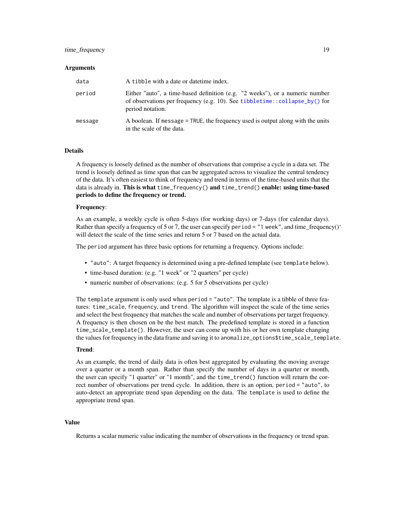#### <span id="page-18-0"></span>time\_frequency 19

#### Arguments

| data    | A tibble with a date or date time index.                                                                                                                                       |
|---------|--------------------------------------------------------------------------------------------------------------------------------------------------------------------------------|
| period  | Either "auto", a time-based definition (e.g. "2 weeks"), or a numeric number<br>of observations per frequency (e.g. 10). See tibbletime::collapse_by() for<br>period notation. |
| message | A boolean. If message = TRUE, the frequency used is output along with the units<br>in the scale of the data.                                                                   |

#### Details

A frequency is loosely defined as the number of observations that comprise a cycle in a data set. The trend is loosely defined as time span that can be aggregated across to visualize the central tendency of the data. It's often easiest to think of frequency and trend in terms of the time-based units that the data is already in. This is what time\_frequency() and time\_trend() enable: using time-based periods to define the frequency or trend.

#### Frequency:

As an example, a weekly cycle is often 5-days (for working days) or 7-days (for calendar days). Rather than specify a frequency of 5 or 7, the user can specify period = "1 week", and time\_frequency()' will detect the scale of the time series and return 5 or 7 based on the actual data.

The period argument has three basic options for returning a frequency. Options include:

- "auto": A target frequency is determined using a pre-defined template (see template below).
- time-based duration: (e.g. "1 week" or "2 quarters" per cycle)
- numeric number of observations: (e.g. 5 for 5 observations per cycle)

The template argument is only used when period = "auto". The template is a tibble of three features: time\_scale, frequency, and trend. The algorithm will inspect the scale of the time series and select the best frequency that matches the scale and number of observations per target frequency. A frequency is then chosen on be the best match. The predefined template is stored in a function time\_scale\_template(). However, the user can come up with his or her own template changing the values for frequency in the data frame and saving it to anomalize\_options\$time\_scale\_template.

#### Trend:

As an example, the trend of daily data is often best aggregated by evaluating the moving average over a quarter or a month span. Rather than specify the number of days in a quarter or month, the user can specify "1 quarter" or "1 month", and the time\_trend() function will return the correct number of observations per trend cycle. In addition, there is an option, period = "auto", to auto-detect an appropriate trend span depending on the data. The template is used to define the appropriate trend span.

#### Value

Returns a scalar numeric value indicating the number of observations in the frequency or trend span.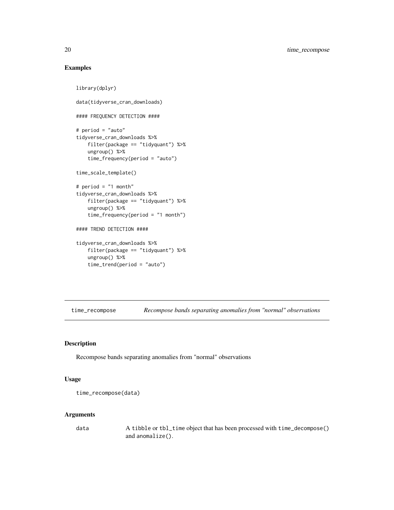#### Examples

```
library(dplyr)
data(tidyverse_cran_downloads)
#### FREQUENCY DETECTION ####
# period = "auto"
tidyverse_cran_downloads %>%
   filter(package == "tidyquant") %>%
   ungroup() %>%
   time_frequency(period = "auto")
time_scale_template()
# period = "1 month"
tidyverse_cran_downloads %>%
    filter(package == "tidyquant") %>%
   ungroup() %>%
    time_frequency(period = "1 month")
#### TREND DETECTION ####
tidyverse_cran_downloads %>%
   filter(package == "tidyquant") %>%
   ungroup() %>%
   time_trend(period = "auto")
```
<span id="page-19-1"></span>time\_recompose *Recompose bands separating anomalies from "normal" observations*

#### Description

Recompose bands separating anomalies from "normal" observations

#### Usage

```
time_recompose(data)
```
#### Arguments

data A tibble or tbl\_time object that has been processed with time\_decompose() and anomalize().

<span id="page-19-0"></span>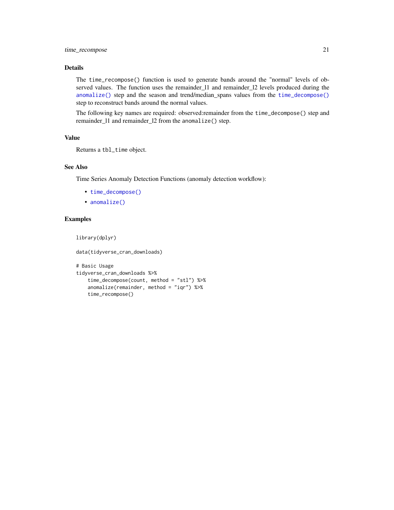#### <span id="page-20-0"></span>Details

The time\_recompose() function is used to generate bands around the "normal" levels of observed values. The function uses the remainder\_11 and remainder\_12 levels produced during the [anomalize\(\)](#page-1-1) step and the season and trend/median\_spans values from the [time\\_decompose\(\)](#page-15-1) step to reconstruct bands around the normal values.

The following key names are required: observed:remainder from the time\_decompose() step and remainder\_l1 and remainder\_l2 from the anomalize() step.

#### Value

Returns a tbl\_time object.

#### See Also

Time Series Anomaly Detection Functions (anomaly detection workflow):

- [time\\_decompose\(\)](#page-15-1)
- [anomalize\(\)](#page-1-1)

#### Examples

library(dplyr)

```
data(tidyverse_cran_downloads)
```

```
# Basic Usage
tidyverse_cran_downloads %>%
   time_decompose(count, method = "stl") %>%
    anomalize(remainder, method = "iqr") %>%
    time_recompose()
```